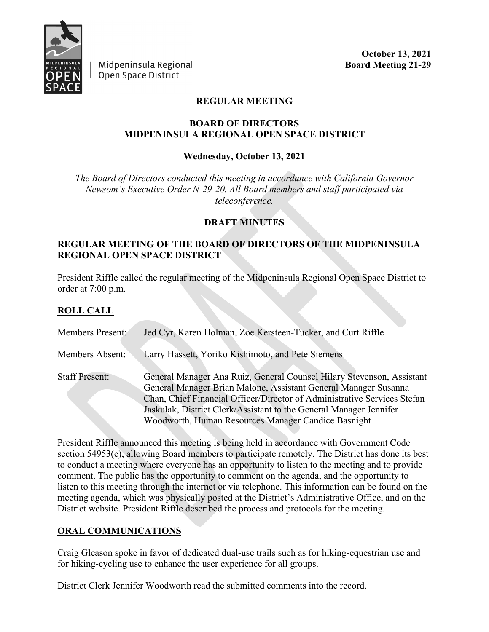

Midpeninsula Regional Open Space District

**October 13, 2021 Board Meeting 21-29**

## **REGULAR MEETING**

#### **BOARD OF DIRECTORS MIDPENINSULA REGIONAL OPEN SPACE DISTRICT**

### **Wednesday, October 13, 2021**

*The Board of Directors conducted this meeting in accordance with California Governor Newsom's Executive Order N-29-20. All Board members and staff participated via teleconference.*

#### **DRAFT MINUTES**

### **REGULAR MEETING OF THE BOARD OF DIRECTORS OF THE MIDPENINSULA REGIONAL OPEN SPACE DISTRICT**

President Riffle called the regular meeting of the Midpeninsula Regional Open Space District to order at 7:00 p.m.

### **ROLL CALL**

| <b>Members Present:</b> | Jed Cyr, Karen Holman, Zoe Kersteen-Tucker, and Curt Riffle                                                                                                                                                                                                                                                                                       |
|-------------------------|---------------------------------------------------------------------------------------------------------------------------------------------------------------------------------------------------------------------------------------------------------------------------------------------------------------------------------------------------|
| Members Absent:         | Larry Hassett, Yoriko Kishimoto, and Pete Siemens                                                                                                                                                                                                                                                                                                 |
| <b>Staff Present:</b>   | General Manager Ana Ruiz, General Counsel Hilary Stevenson, Assistant<br>General Manager Brian Malone, Assistant General Manager Susanna<br>Chan, Chief Financial Officer/Director of Administrative Services Stefan<br>Jaskulak, District Clerk/Assistant to the General Manager Jennifer<br>Woodworth, Human Resources Manager Candice Basnight |

President Riffle announced this meeting is being held in accordance with Government Code section 54953(e), allowing Board members to participate remotely. The District has done its best to conduct a meeting where everyone has an opportunity to listen to the meeting and to provide comment. The public has the opportunity to comment on the agenda, and the opportunity to listen to this meeting through the internet or via telephone. This information can be found on the meeting agenda, which was physically posted at the District's Administrative Office, and on the District website. President Riffle described the process and protocols for the meeting.

### **ORAL COMMUNICATIONS**

Craig Gleason spoke in favor of dedicated dual-use trails such as for hiking-equestrian use and for hiking-cycling use to enhance the user experience for all groups.

District Clerk Jennifer Woodworth read the submitted comments into the record.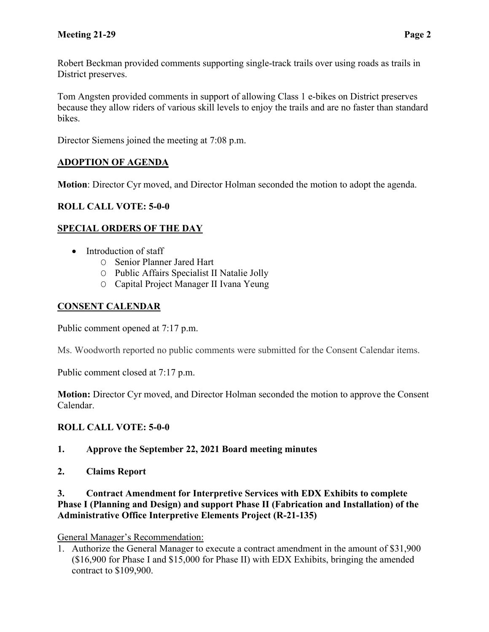Robert Beckman provided comments supporting single-track trails over using roads as trails in District preserves.

Tom Angsten provided comments in support of allowing Class 1 e-bikes on District preserves because they allow riders of various skill levels to enjoy the trails and are no faster than standard bikes.

Director Siemens joined the meeting at 7:08 p.m.

# **ADOPTION OF AGENDA**

**Motion**: Director Cyr moved, and Director Holman seconded the motion to adopt the agenda.

# **ROLL CALL VOTE: 5-0-0**

# **SPECIAL ORDERS OF THE DAY**

- Introduction of staff
	- O Senior Planner Jared Hart
	- O Public Affairs Specialist II Natalie Jolly
	- O Capital Project Manager II Ivana Yeung

# **CONSENT CALENDAR**

Public comment opened at 7:17 p.m.

Ms. Woodworth reported no public comments were submitted for the Consent Calendar items.

Public comment closed at 7:17 p.m.

**Motion:** Director Cyr moved, and Director Holman seconded the motion to approve the Consent Calendar.

# **ROLL CALL VOTE: 5-0-0**

- **1. Approve the September 22, 2021 Board meeting minutes**
- **2. Claims Report**

### **3. Contract Amendment for Interpretive Services with EDX Exhibits to complete Phase I (Planning and Design) and support Phase II (Fabrication and Installation) of the Administrative Office Interpretive Elements Project (R-21-135)**

# General Manager's Recommendation:

1. Authorize the General Manager to execute a contract amendment in the amount of \$31,900 (\$16,900 for Phase I and \$15,000 for Phase II) with EDX Exhibits, bringing the amended contract to \$109,900.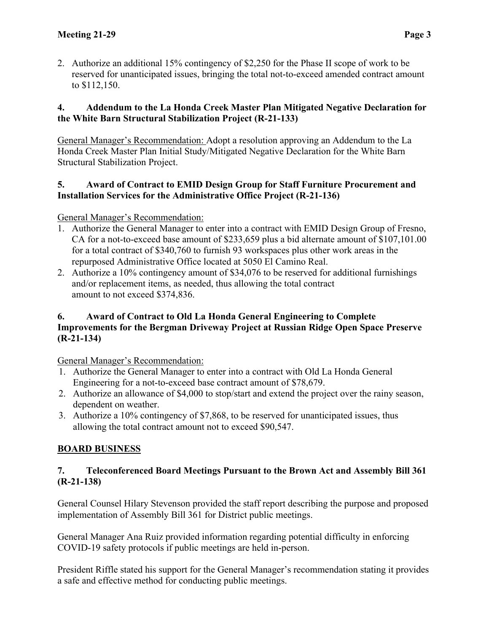2. Authorize an additional 15% contingency of \$2,250 for the Phase II scope of work to be reserved for unanticipated issues, bringing the total not-to-exceed amended contract amount to \$112,150.

## **4. Addendum to the La Honda Creek Master Plan Mitigated Negative Declaration for the White Barn Structural Stabilization Project (R-21-133)**

General Manager's Recommendation: Adopt a resolution approving an Addendum to the La Honda Creek Master Plan Initial Study/Mitigated Negative Declaration for the White Barn Structural Stabilization Project.

## **5. Award of Contract to EMID Design Group for Staff Furniture Procurement and Installation Services for the Administrative Office Project (R-21-136)**

## General Manager's Recommendation:

- 1. Authorize the General Manager to enter into a contract with EMID Design Group of Fresno, CA for a not-to-exceed base amount of \$233,659 plus a bid alternate amount of \$107,101.00 for a total contract of \$340,760 to furnish 93 workspaces plus other work areas in the repurposed Administrative Office located at 5050 El Camino Real.
- 2. Authorize a 10% contingency amount of \$34,076 to be reserved for additional furnishings and/or replacement items, as needed, thus allowing the total contract amount to not exceed \$374,836.

## **6. Award of Contract to Old La Honda General Engineering to Complete Improvements for the Bergman Driveway Project at Russian Ridge Open Space Preserve (R-21-134)**

General Manager's Recommendation:

- 1. Authorize the General Manager to enter into a contract with Old La Honda General Engineering for a not-to-exceed base contract amount of \$78,679.
- 2. Authorize an allowance of \$4,000 to stop/start and extend the project over the rainy season, dependent on weather.
- 3. Authorize a 10% contingency of \$7,868, to be reserved for unanticipated issues, thus allowing the total contract amount not to exceed \$90,547.

# **BOARD BUSINESS**

### **7. Teleconferenced Board Meetings Pursuant to the Brown Act and Assembly Bill 361 (R-21-138)**

General Counsel Hilary Stevenson provided the staff report describing the purpose and proposed implementation of Assembly Bill 361 for District public meetings.

General Manager Ana Ruiz provided information regarding potential difficulty in enforcing COVID-19 safety protocols if public meetings are held in-person.

President Riffle stated his support for the General Manager's recommendation stating it provides a safe and effective method for conducting public meetings.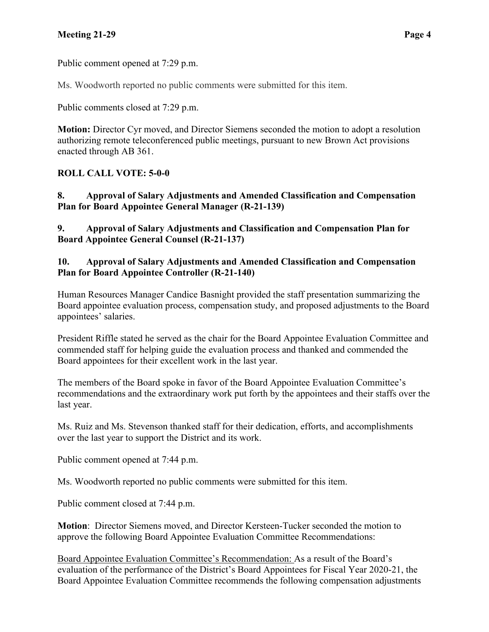## **Meeting 21-29 Page 4**

Public comment opened at 7:29 p.m.

Ms. Woodworth reported no public comments were submitted for this item.

Public comments closed at 7:29 p.m.

**Motion:** Director Cyr moved, and Director Siemens seconded the motion to adopt a resolution authorizing remote teleconferenced public meetings, pursuant to new Brown Act provisions enacted through AB 361.

## **ROLL CALL VOTE: 5-0-0**

**8. Approval of Salary Adjustments and Amended Classification and Compensation Plan for Board Appointee General Manager (R-21-139)**

**9. Approval of Salary Adjustments and Classification and Compensation Plan for Board Appointee General Counsel (R-21-137)**

### **10. Approval of Salary Adjustments and Amended Classification and Compensation Plan for Board Appointee Controller (R-21-140)**

Human Resources Manager Candice Basnight provided the staff presentation summarizing the Board appointee evaluation process, compensation study, and proposed adjustments to the Board appointees' salaries.

President Riffle stated he served as the chair for the Board Appointee Evaluation Committee and commended staff for helping guide the evaluation process and thanked and commended the Board appointees for their excellent work in the last year.

The members of the Board spoke in favor of the Board Appointee Evaluation Committee's recommendations and the extraordinary work put forth by the appointees and their staffs over the last year.

Ms. Ruiz and Ms. Stevenson thanked staff for their dedication, efforts, and accomplishments over the last year to support the District and its work.

Public comment opened at 7:44 p.m.

Ms. Woodworth reported no public comments were submitted for this item.

Public comment closed at 7:44 p.m.

**Motion**: Director Siemens moved, and Director Kersteen-Tucker seconded the motion to approve the following Board Appointee Evaluation Committee Recommendations:

Board Appointee Evaluation Committee's Recommendation: As a result of the Board's evaluation of the performance of the District's Board Appointees for Fiscal Year 2020-21, the Board Appointee Evaluation Committee recommends the following compensation adjustments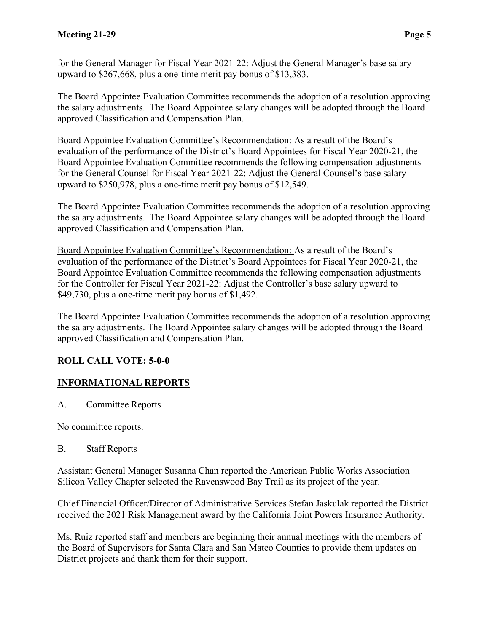for the General Manager for Fiscal Year 2021-22: Adjust the General Manager's base salary upward to \$267,668, plus a one-time merit pay bonus of \$13,383.

The Board Appointee Evaluation Committee recommends the adoption of a resolution approving the salary adjustments. The Board Appointee salary changes will be adopted through the Board approved Classification and Compensation Plan.

Board Appointee Evaluation Committee's Recommendation: As a result of the Board's evaluation of the performance of the District's Board Appointees for Fiscal Year 2020-21, the Board Appointee Evaluation Committee recommends the following compensation adjustments for the General Counsel for Fiscal Year 2021-22: Adjust the General Counsel's base salary upward to \$250,978, plus a one-time merit pay bonus of \$12,549.

The Board Appointee Evaluation Committee recommends the adoption of a resolution approving the salary adjustments. The Board Appointee salary changes will be adopted through the Board approved Classification and Compensation Plan.

Board Appointee Evaluation Committee's Recommendation: As a result of the Board's evaluation of the performance of the District's Board Appointees for Fiscal Year 2020-21, the Board Appointee Evaluation Committee recommends the following compensation adjustments for the Controller for Fiscal Year 2021-22: Adjust the Controller's base salary upward to \$49,730, plus a one-time merit pay bonus of \$1,492.

The Board Appointee Evaluation Committee recommends the adoption of a resolution approving the salary adjustments. The Board Appointee salary changes will be adopted through the Board approved Classification and Compensation Plan.

## **ROLL CALL VOTE: 5-0-0**

# **INFORMATIONAL REPORTS**

A. Committee Reports

No committee reports.

### B. Staff Reports

Assistant General Manager Susanna Chan reported the American Public Works Association Silicon Valley Chapter selected the Ravenswood Bay Trail as its project of the year.

Chief Financial Officer/Director of Administrative Services Stefan Jaskulak reported the District received the 2021 Risk Management award by the California Joint Powers Insurance Authority.

Ms. Ruiz reported staff and members are beginning their annual meetings with the members of the Board of Supervisors for Santa Clara and San Mateo Counties to provide them updates on District projects and thank them for their support.